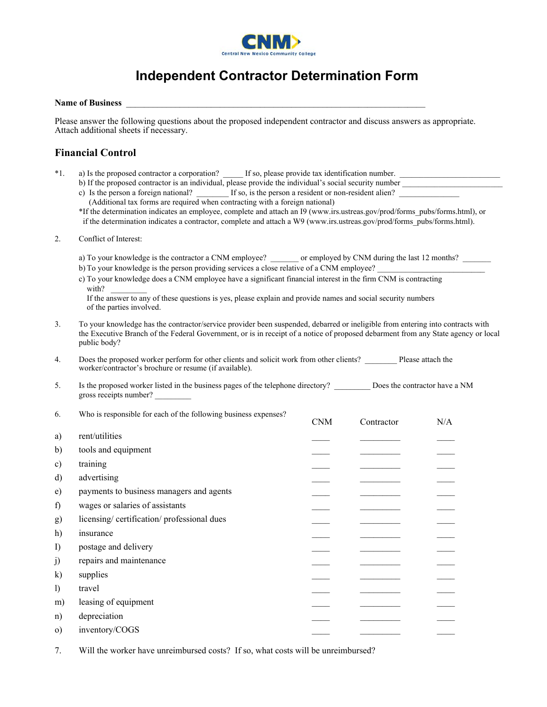

## **Independent Contractor Determination Form**

## **Name of Business**

Please answer the following questions about the proposed independent contractor and discuss answers as appropriate. Attach additional sheets if necessary.

## **Financial Control**

| $*1$ .       | a) Is the proposed contractor a corporation?<br>If so, please provide tax identification number.                                                                                                                                                                                    |            |                                                                                                                                                                                                                                                                                                                                                                                                                                                                            |     |  |  |  |
|--------------|-------------------------------------------------------------------------------------------------------------------------------------------------------------------------------------------------------------------------------------------------------------------------------------|------------|----------------------------------------------------------------------------------------------------------------------------------------------------------------------------------------------------------------------------------------------------------------------------------------------------------------------------------------------------------------------------------------------------------------------------------------------------------------------------|-----|--|--|--|
|              | b) If the proposed contractor is an individual, please provide the individual's social security number<br>c) Is the person a foreign national? _______ If so, is the person a resident or non-resident alien?                                                                       |            |                                                                                                                                                                                                                                                                                                                                                                                                                                                                            |     |  |  |  |
|              | (Additional tax forms are required when contracting with a foreign national)                                                                                                                                                                                                        |            |                                                                                                                                                                                                                                                                                                                                                                                                                                                                            |     |  |  |  |
|              | *If the determination indicates an employee, complete and attach an I9 (www.irs.ustreas.gov/prod/forms pubs/forms.html), or<br>if the determination indicates a contractor, complete and attach a W9 (www.irs.ustreas.gov/prod/forms pubs/forms.html).                              |            |                                                                                                                                                                                                                                                                                                                                                                                                                                                                            |     |  |  |  |
| 2.           | Conflict of Interest:                                                                                                                                                                                                                                                               |            |                                                                                                                                                                                                                                                                                                                                                                                                                                                                            |     |  |  |  |
|              | a) To your knowledge is the contractor a CNM employee? _______ or employed by CNM during the last 12 months? ______                                                                                                                                                                 |            |                                                                                                                                                                                                                                                                                                                                                                                                                                                                            |     |  |  |  |
|              | b) To your knowledge is the person providing services a close relative of a CNM employee?                                                                                                                                                                                           |            |                                                                                                                                                                                                                                                                                                                                                                                                                                                                            |     |  |  |  |
|              | c) To your knowledge does a CNM employee have a significant financial interest in the firm CNM is contracting<br>with?                                                                                                                                                              |            |                                                                                                                                                                                                                                                                                                                                                                                                                                                                            |     |  |  |  |
|              | If the answer to any of these questions is yes, please explain and provide names and social security numbers<br>of the parties involved.                                                                                                                                            |            |                                                                                                                                                                                                                                                                                                                                                                                                                                                                            |     |  |  |  |
| 3.           | To your knowledge has the contractor/service provider been suspended, debarred or ineligible from entering into contracts with<br>the Executive Branch of the Federal Government, or is in receipt of a notice of proposed debarment from any State agency or local<br>public body? |            |                                                                                                                                                                                                                                                                                                                                                                                                                                                                            |     |  |  |  |
| 4.           | Does the proposed worker perform for other clients and solicit work from other clients? Please attach the<br>worker/contractor's brochure or resume (if available).                                                                                                                 |            |                                                                                                                                                                                                                                                                                                                                                                                                                                                                            |     |  |  |  |
| 5.           | Is the proposed worker listed in the business pages of the telephone directory? Does the contractor have a NM<br>gross receipts number?                                                                                                                                             |            |                                                                                                                                                                                                                                                                                                                                                                                                                                                                            |     |  |  |  |
| 6.           | Who is responsible for each of the following business expenses?                                                                                                                                                                                                                     | <b>CNM</b> | Contractor                                                                                                                                                                                                                                                                                                                                                                                                                                                                 | N/A |  |  |  |
| a)           | rent/utilities                                                                                                                                                                                                                                                                      |            |                                                                                                                                                                                                                                                                                                                                                                                                                                                                            |     |  |  |  |
| b)           | tools and equipment                                                                                                                                                                                                                                                                 |            | <u> Alexandria (Carlos Alexandria)</u>                                                                                                                                                                                                                                                                                                                                                                                                                                     |     |  |  |  |
| c)           | training                                                                                                                                                                                                                                                                            |            |                                                                                                                                                                                                                                                                                                                                                                                                                                                                            |     |  |  |  |
| $\mathbf{d}$ | advertising                                                                                                                                                                                                                                                                         |            | $\frac{1}{2} \left( \frac{1}{2} \right) \left( \frac{1}{2} \right) \left( \frac{1}{2} \right) \left( \frac{1}{2} \right) \left( \frac{1}{2} \right) \left( \frac{1}{2} \right) \left( \frac{1}{2} \right) \left( \frac{1}{2} \right) \left( \frac{1}{2} \right) \left( \frac{1}{2} \right) \left( \frac{1}{2} \right) \left( \frac{1}{2} \right) \left( \frac{1}{2} \right) \left( \frac{1}{2} \right) \left( \frac{1}{2} \right) \left( \frac{1}{2} \right) \left( \frac$ |     |  |  |  |
| e)           | payments to business managers and agents                                                                                                                                                                                                                                            |            |                                                                                                                                                                                                                                                                                                                                                                                                                                                                            |     |  |  |  |
| f            | wages or salaries of assistants                                                                                                                                                                                                                                                     |            | $\sim$ 100 $\mu$ m $\sim$                                                                                                                                                                                                                                                                                                                                                                                                                                                  |     |  |  |  |
| g)           | licensing/certification/professional dues                                                                                                                                                                                                                                           |            | $\begin{tabular}{lcccccc} \multicolumn{2}{c }{\textbf{1} & \textbf{2} & \textbf{3} & \textbf{4} & \textbf{5} & \textbf{5} & \textbf{6} & \textbf{7} & \textbf{8} & \textbf{9} & \textbf{10} & \textbf{10} & \textbf{10} & \textbf{10} & \textbf{10} & \textbf{10} & \textbf{10} & \textbf{10} & \textbf{10} & \textbf{10} & \textbf{10} & \textbf{10} & \textbf{10} & \textbf{10} & \textbf{10} & \textbf{10} & \text$                                                     |     |  |  |  |
| h)           | insurance                                                                                                                                                                                                                                                                           |            |                                                                                                                                                                                                                                                                                                                                                                                                                                                                            |     |  |  |  |
| $\Gamma$     | postage and delivery                                                                                                                                                                                                                                                                |            |                                                                                                                                                                                                                                                                                                                                                                                                                                                                            |     |  |  |  |
| j)           | repairs and maintenance                                                                                                                                                                                                                                                             |            |                                                                                                                                                                                                                                                                                                                                                                                                                                                                            |     |  |  |  |
| $\bf k)$     | supplies                                                                                                                                                                                                                                                                            |            |                                                                                                                                                                                                                                                                                                                                                                                                                                                                            |     |  |  |  |
| $\mathbf{I}$ | travel                                                                                                                                                                                                                                                                              |            |                                                                                                                                                                                                                                                                                                                                                                                                                                                                            |     |  |  |  |
| m)           | leasing of equipment                                                                                                                                                                                                                                                                |            |                                                                                                                                                                                                                                                                                                                                                                                                                                                                            |     |  |  |  |
| n)           | depreciation                                                                                                                                                                                                                                                                        |            |                                                                                                                                                                                                                                                                                                                                                                                                                                                                            |     |  |  |  |
| $\circ$ )    | inventory/COGS                                                                                                                                                                                                                                                                      |            |                                                                                                                                                                                                                                                                                                                                                                                                                                                                            |     |  |  |  |
|              |                                                                                                                                                                                                                                                                                     |            |                                                                                                                                                                                                                                                                                                                                                                                                                                                                            |     |  |  |  |

7. Will the worker have unreimbursed costs? If so, what costs will be unreimbursed?